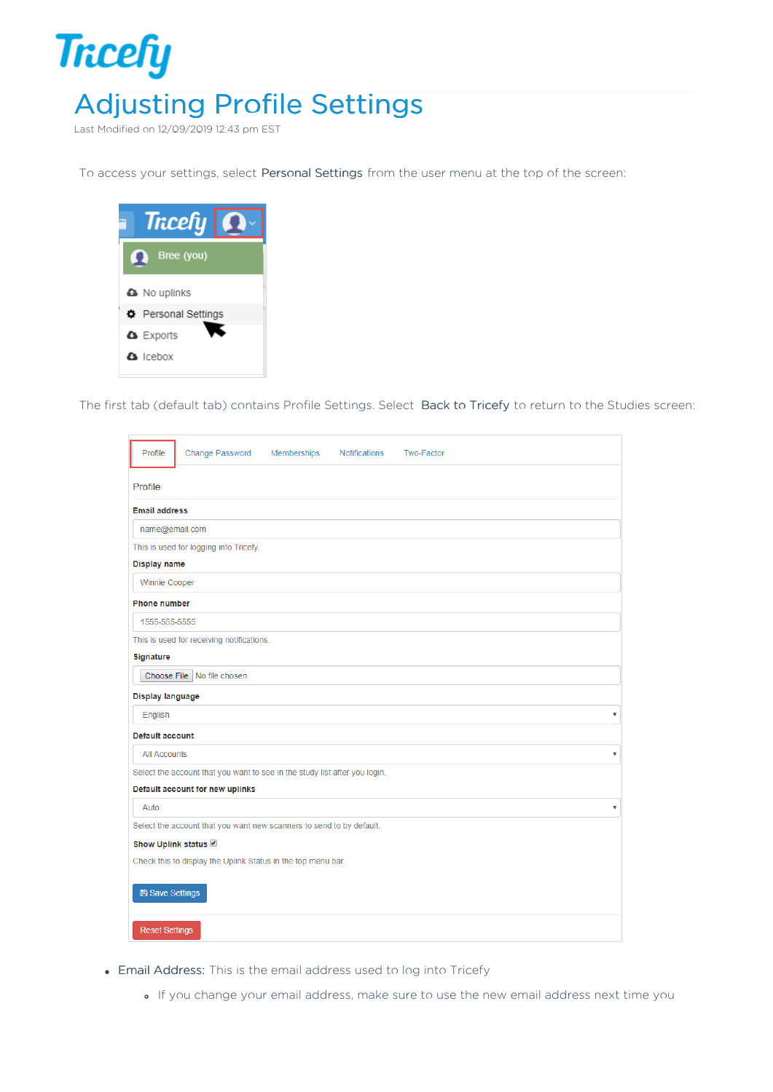

Last Modified on 12/09/2019 12:43 pm EST

To access your settings, select Personal Settings from the user menu at the top of the screen:



The first tab (default tab) contains Profile Settings. Select Back to Tricefy to return to the Studies screen:

| Profile<br><b>Change Password</b><br>Memberships<br><b>Notifications</b><br><b>Two-Factor</b> |                           |
|-----------------------------------------------------------------------------------------------|---------------------------|
| Profile                                                                                       |                           |
| <b>Email address</b>                                                                          |                           |
| name@email.com                                                                                |                           |
| This is used for logging into Tricefy.                                                        |                           |
| Display name                                                                                  |                           |
| Winnie Cooper                                                                                 |                           |
| <b>Phone number</b>                                                                           |                           |
| 1555-555-5555                                                                                 |                           |
| This is used for receiving notifications.                                                     |                           |
| Signature                                                                                     |                           |
| Choose File   No file chosen                                                                  |                           |
| Display language                                                                              |                           |
| English                                                                                       | ۷                         |
| <b>Default account</b>                                                                        |                           |
| <b>All Accounts</b>                                                                           | $\boldsymbol{\mathrm{v}}$ |
| Select the account that you want to see in the study list after you login.                    |                           |
| Default account for new uplinks                                                               |                           |
| Auto                                                                                          | $\boldsymbol{\mathrm{v}}$ |
| Select the account that you want new scanners to send to by default.                          |                           |
| Show Uplink status                                                                            |                           |
| Check this to display the Uplink Status in the top menu bar.                                  |                           |
| <b>A</b> Save Settings                                                                        |                           |
| <b>Reset Settings</b>                                                                         |                           |

- Email Address: This is the email address used to log into Tricefy
	- If you change your email address, make sure to use the new email address next time you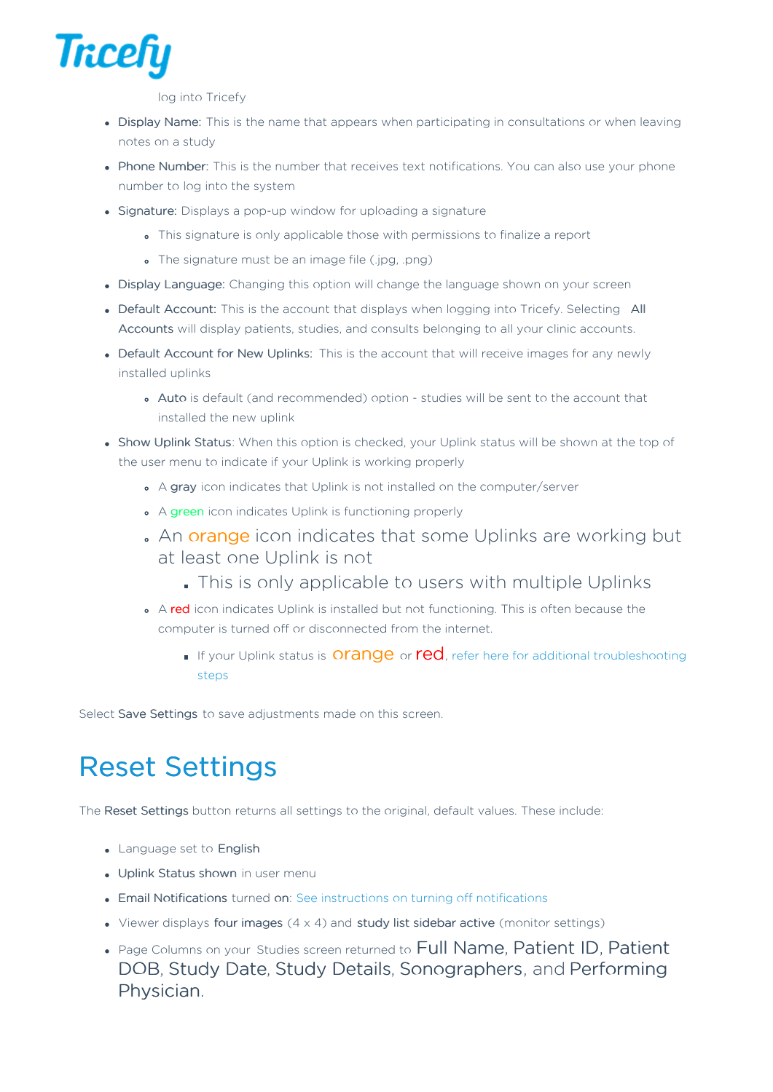

log into Tricefy

- Display Name: This is the name that appears when participating in consultations or when leaving notes on a study
- Phone Number: This is the number that receives text notifications. You can also use your phone number to log into the system
- Signature: Displays a pop-up window for uploading a signature
	- This signature is only applicable those with permissions to finalize a report
	- The signature must be an image file (.jpg, .png)
- Display Language: Changing this option will change the language shown on your screen
- Default Account: This is the account that displays when logging into Tricefy. Selecting All Accounts will display patients, studies, and consults belonging to all your clinic accounts.
- Default Account for New Uplinks: This is the account that will receive images for any newly installed uplinks
	- Auto is default (and recommended) option studies will be sent to the account that installed the new uplink
- Show Uplink Status: When this option is checked, your Uplink status will be shown at the top of the user menu to indicate if your Uplink is working properly
	- A gray icon indicates that Uplink is not installed on the computer/server
	- A green icon indicates Uplink is functioning properly
	- An orange icon indicates that some Uplinks are working but at least one Uplink is not
		- This is only applicable to users with multiple Uplinks
	- A red icon indicates Uplink is installed but not functioning. This is often because the computer is turned off or disconnected from the internet.
		- If your Uplink status is **Orange** or **red**, refer here for additional troubleshooting steps

Select Save Settings to save adjustments made on this screen.

## Reset Settings

The Reset Settings button returns all settings to the original, default values. These include:

- Language set to English
- Uplink Status shown in user menu
- Email Notifications turned on: See instructions on turning off notifications
- Viewer displays four images  $(4 \times 4)$  and study list sidebar active (monitor settings)
- Page Columns on your Studies screen returned to Full Name, Patient ID, Patient DOB, Study Date, Study Details, Sonographers, and Performing Physician.